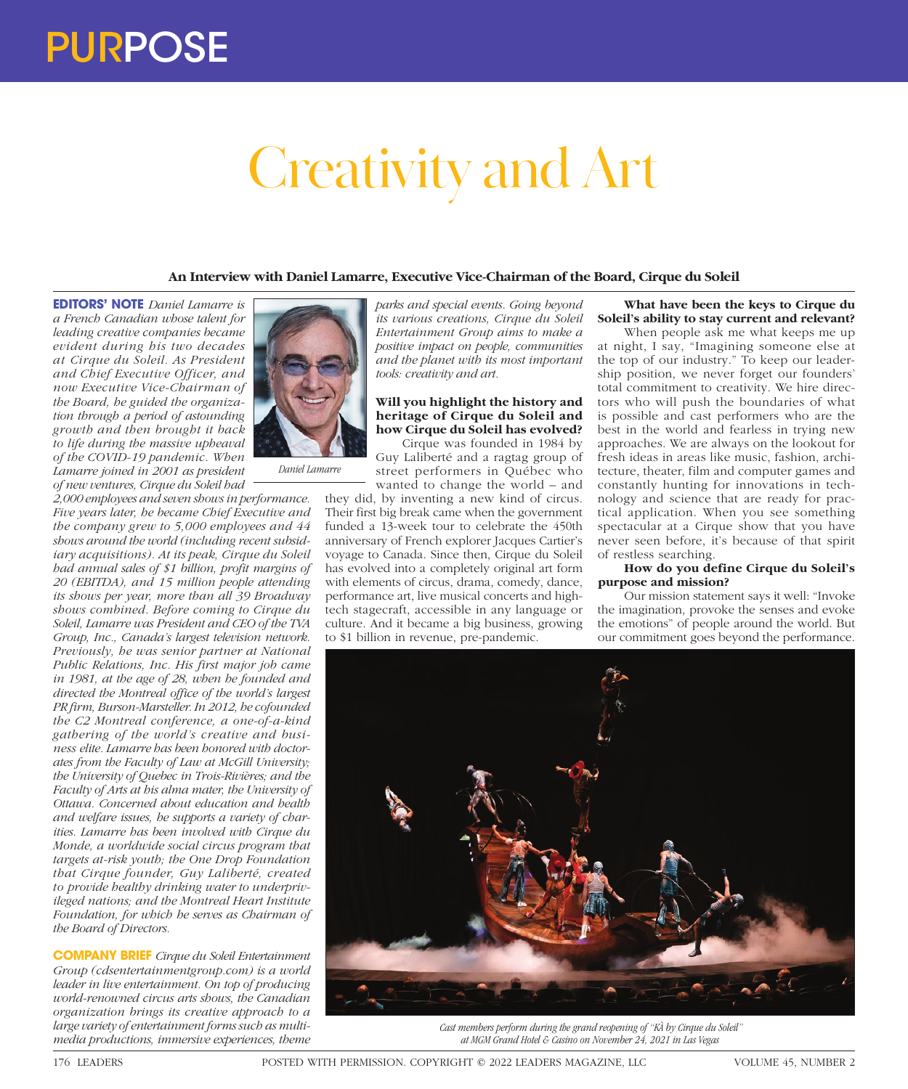# Creativity and Art

**An Interview with Daniel Lamarre, Executive Vice-Chairman of the Board, Cirque du Soleil**

**EDITORS' NOTE** *Daniel Lamarre is a French Canadian whose talent for leading creative companies became evident during his two decades at Cirque du Soleil. As President and Chief Executive Officer, and now Executive Vice-Chairman of the Board, he guided the organization through a period of astounding growth and then brought it back to life during the massive upheaval of the COVID-19 pandemic. When Lamarre joined in 2001 as president of new ventures, Cirque du Soleil had* 

*2,000 employees and seven shows in performance. Five years later, he became Chief Executive and the company grew to 5,000 employees and 44 shows around the world (including recent subsidiary acquisitions). At its peak, Cirque du Soleil had annual sales of \$1 billion, profit margins of 20 (EBITDA), and 15 million people attending its shows per year, more than all 39 Broadway shows combined. Before coming to Cirque du Soleil, Lamarre was President and CEO of the TVA Group, Inc., Canada's largest television network. Previously, he was senior partner at National Public Relations, Inc. His first major job came in 1981, at the age of 28, when he founded and directed the Montreal office of the world's largest PR firm, Burson-Marsteller. In 2012, he cofounded the C2 Montreal conference, a one-of-a-kind gathering of the world's creative and business elite. Lamarre has been honored with doctorates from the Faculty of Law at McGill University; the University of Quebec in Trois-Rivières; and the Faculty of Arts at his alma mater, the University of Ottawa. Concerned about education and health and welfare issues, he supports a variety of charities. Lamarre has been involved with Cirque du Monde, a worldwide social circus program that targets at-risk youth; the One Drop Foundation that Cirque founder, Guy Laliberté, created to provide healthy drinking water to underprivileged nations; and the Montreal Heart Institute Foundation, for which he serves as Chairman of the Board of Directors.*

**COMPANY BRIEF** *Cirque du Soleil Entertainment Group (cdsentertainmentgroup.com) is a world leader in live entertainment. On top of producing world-renowned circus arts shows, the Canadian organization brings its creative approach to a large variety of entertainment forms such as multimedia productions, immersive experiences, theme* 



*Daniel Lamarre*

*parks and special events. Going beyond its various creations, Cirque du Soleil Entertainment Group aims to make a positive impact on people, communities and the planet with its most important tools: creativity and art.*

### **Will you highlight the history and heritage of Cirque du Soleil and how Cirque du Soleil has evolved?**

Cirque was founded in 1984 by Guy Laliberté and a ragtag group of street performers in Québec who wanted to change the world – and

they did, by inventing a new kind of circus. Their first big break came when the government funded a 13-week tour to celebrate the 450th anniversary of French explorer Jacques Cartier's voyage to Canada. Since then, Cirque du Soleil has evolved into a completely original art form with elements of circus, drama, comedy, dance, performance art, live musical concerts and hightech stagecraft, accessible in any language or culture. And it became a big business, growing to \$1 billion in revenue, pre-pandemic.

## **What have been the keys to Cirque du Soleil's ability to stay current and relevant?**

When people ask me what keeps me up at night, I say, "Imagining someone else at the top of our industry." To keep our leadership position, we never forget our founders' total commitment to creativity. We hire directors who will push the boundaries of what is possible and cast performers who are the best in the world and fearless in trying new approaches. We are always on the lookout for fresh ideas in areas like music, fashion, architecture, theater, film and computer games and constantly hunting for innovations in technology and science that are ready for practical application. When you see something spectacular at a Cirque show that you have never seen before, it's because of that spirit of restless searching.

#### **How do you define Cirque du Soleil's purpose and mission?**

Our mission statement says it well: "Invoke the imagination, provoke the senses and evoke the emotions" of people around the world. But our commitment goes beyond the performance.



*Cast members perform during the grand reopening of "KÀ by Cirque du Soleil" at MGM Grand Hotel & Casino on November 24, 2021 in Las Vegas*